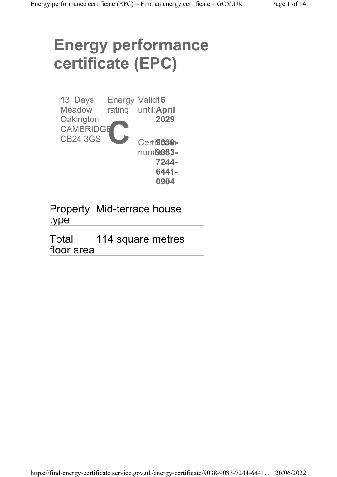# Energy performance certificate (EPC)

| 13, Days<br><b>Meadow</b><br>Oakington<br><b>CAMBRIDGE</b> | Energy | Valid <sub>16</sub><br>rating until: April<br>2029                  |
|------------------------------------------------------------|--------|---------------------------------------------------------------------|
| <b>CB24 3GS</b>                                            |        | Certi903 <sup>8</sup><br>num <b>9083-</b><br>7244-<br>6441-<br>0904 |

Property Mid-terrace house type

Total floor area 114 square metres

https://find-energy-certificate.service.gov.uk/energy-certificate/9038-9083-7244-6441... 20/06/2022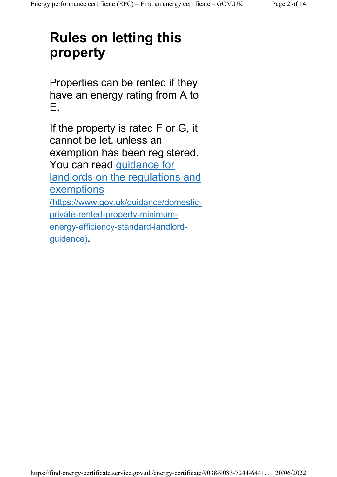## Rules on letting this property

Properties can be rented if they have an energy rating from A to E.

If the property is rated F or G, it cannot be let, unless an exemption has been registered. You can read guidance for landlords on the regulations and **exemptions** (https://www.gov.uk/guidance/domesticprivate-rented-property-minimumenergy-efficiency-standard-landlordguidance).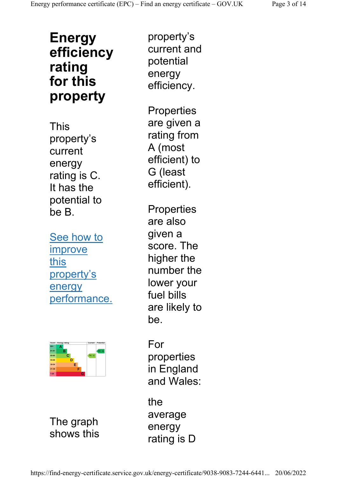### Energy efficiency rating for this property

This property's current energy rating is C. It has the potential to be B.

See how to improve this property's energy performance.



The graph shows this

property's current and potential energy efficiency.

**Properties** are given a rating from A (most efficient) to G (least efficient).

**Properties** are also given a score. The higher the number the lower your fuel bills are likely to be.

For properties in England and Wales:

the average energy rating is D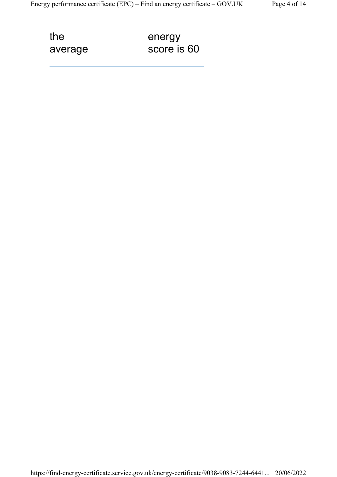the average energy score is 60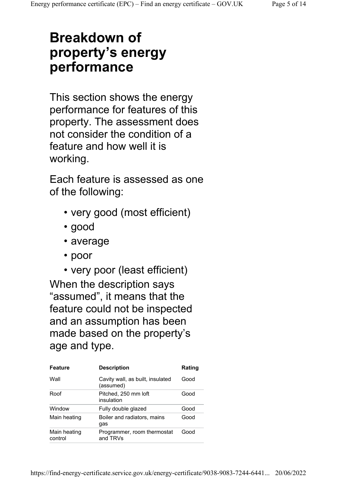## Breakdown of property's energy performance

This section shows the energy performance for features of this property. The assessment does not consider the condition of a feature and how well it is working.

Each feature is assessed as one of the following:

- very good (most efficient)
- good
- average
- poor
- very poor (least efficient)

When the description says "assumed", it means that the feature could not be inspected and an assumption has been made based on the property's age and type.

| <b>Feature</b>          | <b>Description</b>                            | Rating |
|-------------------------|-----------------------------------------------|--------|
| Wall                    | Cavity wall, as built, insulated<br>(assumed) | Good   |
| Roof                    | Pitched, 250 mm loft<br>insulation            | Good   |
| Window                  | Fully double glazed                           | Good   |
| Main heating            | Boiler and radiators, mains<br>gas            | Good   |
| Main heating<br>control | Programmer, room thermostat<br>and TRVs       | Good   |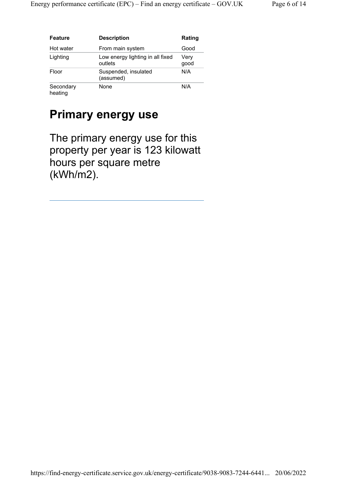| <b>Feature</b>       | <b>Description</b>                          | Rating       |
|----------------------|---------------------------------------------|--------------|
| Hot water            | From main system                            | Good         |
| Lighting             | Low energy lighting in all fixed<br>outlets | Very<br>good |
| Floor                | Suspended, insulated<br>(assumed)           | N/A          |
| Secondary<br>heating | None                                        | N/A          |

#### Primary energy use

The primary energy use for this property per year is 123 kilowatt hours per square metre (kWh/m2).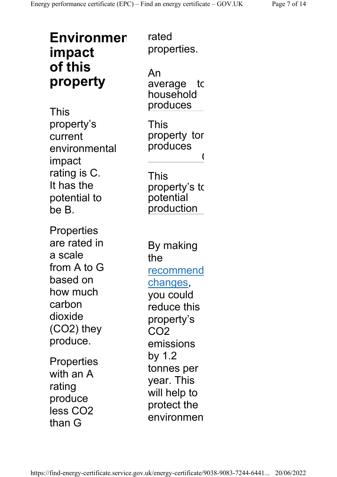| <b>Environmer</b><br>impact                                                                                                                                                 | rated<br>properties.                                                                                                                                                                |
|-----------------------------------------------------------------------------------------------------------------------------------------------------------------------------|-------------------------------------------------------------------------------------------------------------------------------------------------------------------------------------|
| of this<br>property<br>This                                                                                                                                                 | An<br>average to<br>household<br>produces                                                                                                                                           |
| property's<br>current<br>environmental<br>impact<br>rating is C.<br>It has the<br>potential to<br>be B.                                                                     | This<br>property tor<br>produces<br>This<br>property's to<br>potential<br>production                                                                                                |
| Properties<br>are rated in<br>a scale<br>from A to G<br>based on<br>how much<br>carbon<br>dioxide<br>(CO2) they<br>produce.<br>Properties<br>with an A<br>rating<br>produce | By making<br>the<br><u>recommend</u><br>changes,<br>you could<br>reduce this<br>property's<br>CO2<br>emissions<br>by 1.2<br>tonnes per<br>year. This<br>will help to<br>protect the |
| less CO2<br>than G                                                                                                                                                          | environmen                                                                                                                                                                          |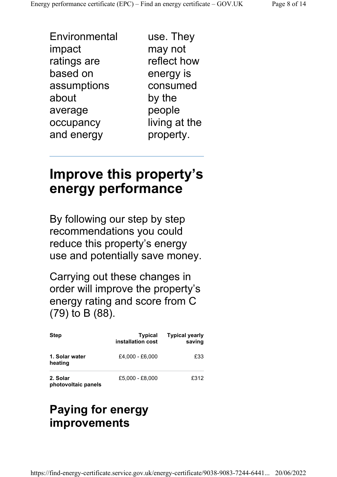Environmental impact ratings are based on assumptions about average occupancy and energy

use. They may not reflect how energy is consumed by the people living at the property.

## Improve this property's energy performance

By following our step by step recommendations you could reduce this property's energy use and potentially save money.

Carrying out these changes in order will improve the property's energy rating and score from C (79) to B (88).

| <b>Step</b>                     | <b>Typical</b><br>installation cost | <b>Typical yearly</b><br>saving |
|---------------------------------|-------------------------------------|---------------------------------|
| 1. Solar water<br>heating       | £4.000 - £6.000                     | £33                             |
| 2. Solar<br>photovoltaic panels | £5.000 - £8.000                     | £312                            |

#### Paying for energy improvements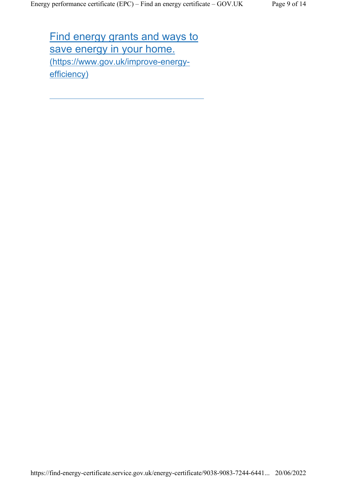Find energy grants and ways to save energy in your home. (https://www.gov.uk/improve-energyefficiency)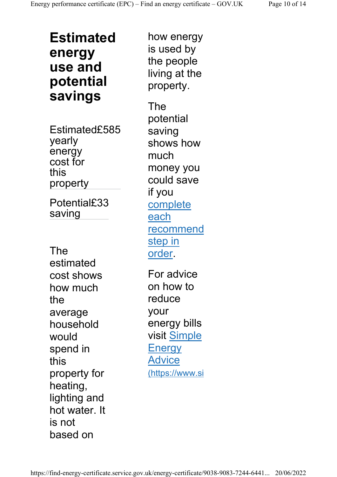Estimated energy use and potential savings

Estimated£585 yearly energy cost for this property

Potential£33 saving

The estimated cost shows how much the average household would spend in this property for heating, lighting and hot water. It is not based on

how energy is used by the people living at the property. The potential saving shows how much money you could save if you complete each recommend step in order. For advice on how to reduce your energy bills visit Simple **Energy** Advice

(https://www.si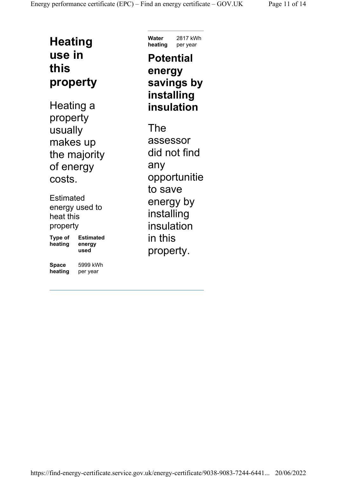#### **Heating** use in this property

Heating a property usually makes up the majority of energy costs.

**Estimated** energy used to heat this property Type of heating Estimated energy used

Space heating per year 5999 kWh Water heating per year 2817 kWh

#### **Potential** energy savings by installing insulation

The assessor did not find any opportunitie to save energy by installing insulation in this property.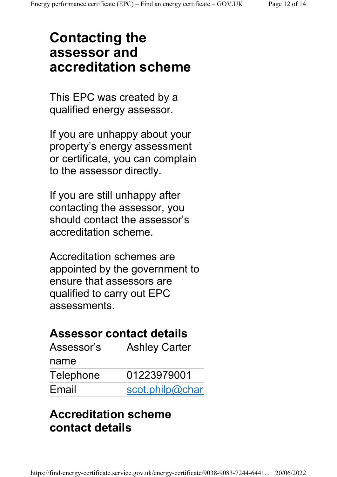## Contacting the assessor and accreditation scheme

This EPC was created by a qualified energy assessor.

If you are unhappy about your property's energy assessment or certificate, you can complain to the assessor directly.

If you are still unhappy after contacting the assessor, you should contact the assessor's accreditation scheme.

Accreditation schemes are appointed by the government to ensure that assessors are qualified to carry out EPC assessments.

#### Assessor contact details

| Assessor's | <b>Ashley Carter</b> |
|------------|----------------------|
| name       |                      |
| Telephone  | 01223979001          |
| Email      | scot.philp@char      |

#### Accreditation scheme contact details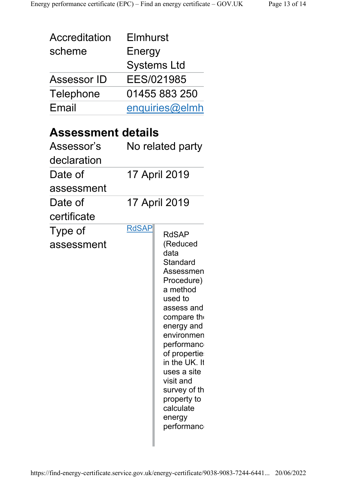| Accreditation<br>scheme<br>Assessor ID<br><b>Telephone</b><br>Email             | Elmhurst<br>Energy | Systems Ltd<br>EES/021985<br>01455 883 250<br>enquiries@elmh                                                                                                                                                                                                                                           |
|---------------------------------------------------------------------------------|--------------------|--------------------------------------------------------------------------------------------------------------------------------------------------------------------------------------------------------------------------------------------------------------------------------------------------------|
| <b>Assessment details</b><br>Assessor's<br>declaration<br>Date of<br>assessment |                    | No related party<br>17 April 2019                                                                                                                                                                                                                                                                      |
| Date of<br>certificate                                                          |                    | 17 April 2019                                                                                                                                                                                                                                                                                          |
| Type of<br>assessment                                                           | <b>RdSAP</b>       | <b>RdSAP</b><br>(Reduced<br>data<br>Standard<br>Assessmen<br>Procedure)<br>a method<br>used to<br>assess and<br>compare the<br>energy and<br>environmen<br>performanc<br>of propertie<br>in the UK. It<br>uses a site<br>visit and<br>survey of th<br>property to<br>calculate<br>energy<br>performanc |